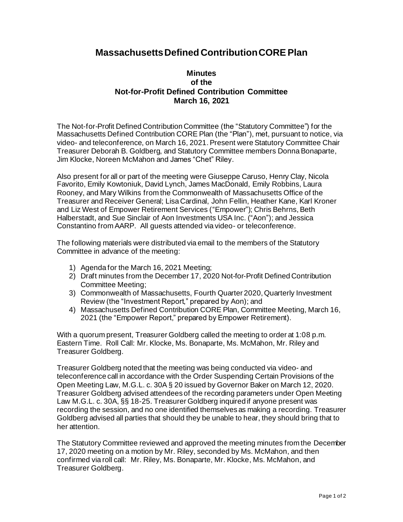## **Massachusetts Defined Contribution CORE Plan**

## **Minutes of the Not-for-Profit Defined Contribution Committee March 16, 2021**

The Not-for-Profit Defined Contribution Committee (the "Statutory Committee") for the Massachusetts Defined Contribution CORE Plan (the "Plan"), met, pursuant to notice, via video- and teleconference, on March 16, 2021. Present were Statutory Committee Chair Treasurer Deborah B. Goldberg, and Statutory Committee members Donna Bonaparte, Jim Klocke, Noreen McMahon and James "Chet" Riley.

Also present for all or part of the meeting were Giuseppe Caruso, Henry Clay, Nicola Favorito, Emily Kowtoniuk, David Lynch, James MacDonald, Emily Robbins, Laura Rooney, and Mary Wilkins from the Commonwealth of Massachusetts Office of the Treasurer and Receiver General; Lisa Cardinal, John Fellin, Heather Kane, Karl Kroner and Liz West of Empower Retirement Services ("Empower"); Chris Behrns, Beth Halberstadt, and Sue Sinclair of Aon Investments USA Inc. ("Aon"); and Jessica Constantino from AARP. All guests attended via video- or teleconference.

The following materials were distributed via email to the members of the Statutory Committee in advance of the meeting:

- 1) Agenda for the March 16, 2021 Meeting;
- 2) Draft minutes from the December 17, 2020 Not-for-Profit Defined Contribution Committee Meeting;
- 3) Commonwealth of Massachusetts, Fourth Quarter 2020, Quarterly Investment Review (the "Investment Report," prepared by Aon); and
- 4) Massachusetts Defined Contribution CORE Plan, Committee Meeting, March 16, 2021 (the "Empower Report," prepared by Empower Retirement).

With a quorum present, Treasurer Goldberg called the meeting to order at 1:08 p.m. Eastern Time. Roll Call: Mr. Klocke, Ms. Bonaparte, Ms. McMahon, Mr. Riley and Treasurer Goldberg.

Treasurer Goldberg noted that the meeting was being conducted via video- and teleconference call in accordance with the Order Suspending Certain Provisions of the Open Meeting Law, M.G.L. c. 30A § 20 issued by Governor Baker on March 12, 2020. Treasurer Goldberg advised attendees of the recording parameters under Open Meeting Law M.G.L. c. 30A, §§ 18-25. Treasurer Goldberg inquired if anyone present was recording the session, and no one identified themselves as making a recording. Treasurer Goldberg advised all parties that should they be unable to hear, they should bring that to her attention.

The Statutory Committee reviewed and approved the meeting minutes from the December 17, 2020 meeting on a motion by Mr. Riley, seconded by Ms. McMahon, and then confirmed via roll call: Mr. Riley, Ms. Bonaparte, Mr. Klocke, Ms. McMahon, and Treasurer Goldberg.